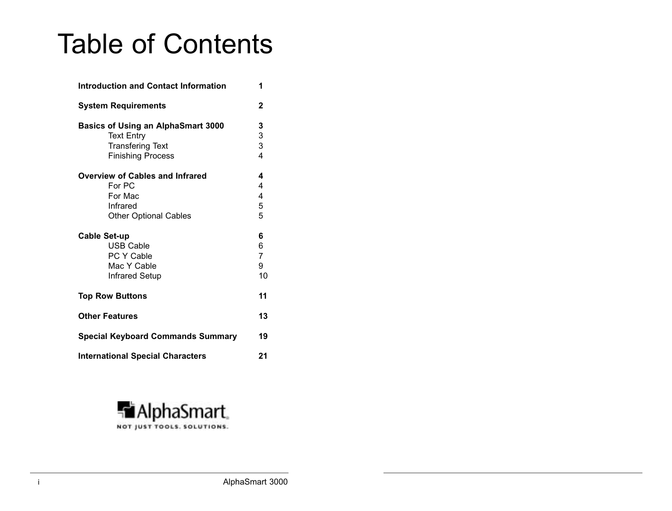# Table of Contents

| <b>Introduction and Contact Information</b><br>1                                                                      |                                     |  |
|-----------------------------------------------------------------------------------------------------------------------|-------------------------------------|--|
| <b>System Requirements</b>                                                                                            | 2                                   |  |
| <b>Basics of Using an AlphaSmart 3000</b><br><b>Text Entry</b><br><b>Transfering Text</b><br><b>Finishing Process</b> | 3<br>3<br>3<br>4                    |  |
| <b>Overview of Cables and Infrared</b><br>For PC<br>For Mac<br>Infrared<br><b>Other Optional Cables</b>               | 4<br>4<br>4<br>5<br>5               |  |
| <b>Cable Set-up</b><br><b>USB Cable</b><br><b>PC Y Cable</b><br>Mac Y Cable<br><b>Infrared Setup</b>                  | 6<br>6<br>$\overline{7}$<br>9<br>10 |  |
| <b>Top Row Buttons</b>                                                                                                | 11                                  |  |
| <b>Other Features</b>                                                                                                 | 13                                  |  |
| <b>Special Keyboard Commands Summary</b>                                                                              | 19                                  |  |
| <b>International Special Characters</b>                                                                               | 21                                  |  |

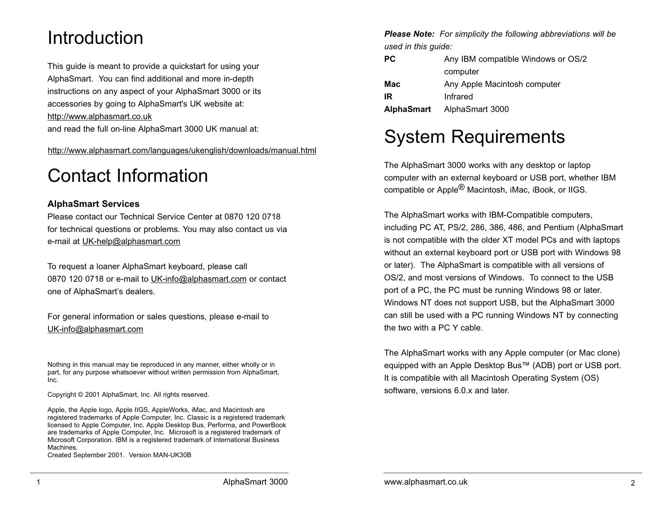## Introduction

This guide is meant to provide a quickstart for using your AlphaSmart. You can find additional and more in-depth instructions on any aspect of your AlphaSmart 3000 or its accessories by going to AlphaSmart's UK website at: http://www.alphasmart.co.uk and read the full on-line AlphaSmart 3000 UK manual at:

http://www.alphasmart.com/languages/ukenglish/downloads/manual.html

## Contact Information

### **AlphaSmart Services**

Please contact our Technical Service Center at 0870 120 0718 for technical questions or problems. You may also contact us via e-mail at UK-help@alphasmart.com

To request a loaner AlphaSmart keyboard, please call 0870 120 0718 or e-mail to UK-info@alphasmart.com or contact one of AlphaSmart's dealers.

For general information or sales questions, please e-mail to UK-info@alphasmart.com

Nothing in this manual may be reproduced in any manner, either wholly or in part, for any purpose whatsoever without written permission from AlphaSmart, Inc.

Copyright © 2001 AlphaSmart, Inc. All rights reserved.

Apple, the Apple logo, Apple IIGS, AppleWorks, iMac, and Macintosh are registered trademarks of Apple Computer, Inc. Classic is a registered trademark licensed to Apple Computer, Inc. Apple Desktop Bus, Performa, and PowerBook are trademarks of Apple Computer, Inc. Microsoft is a registered trademark of Microsoft Corporation. IBM is a registered trademark of International Business Machines.

Created September 2001. Version MAN-UK30B

*Please Note: For simplicity the following abbreviations will be used in this guide:*

| <b>PC</b>         | Any IBM compatible Windows or OS/2 |
|-------------------|------------------------------------|
|                   | computer                           |
| Mac               | Any Apple Macintosh computer       |
| IR                | Infrared                           |
| <b>AlphaSmart</b> | AlphaSmart 3000                    |

## System Requirements

The AlphaSmart 3000 works with any desktop or laptop computer with an external keyboard or USB port, whether IBM compatible or Apple® Macintosh, iMac, iBook, or IIGS.

The AlphaSmart works with IBM-Compatible computers, including PC AT, PS/2, 286, 386, 486, and Pentium (AlphaSmart is not compatible with the older XT model PCs and with laptops without an external keyboard port or USB port with Windows 98 or later). The AlphaSmart is compatible with all versions of OS/2, and most versions of Windows. To connect to the USB port of a PC, the PC must be running Windows 98 or later. Windows NT does not support USB, but the AlphaSmart 3000 can still be used with a PC running Windows NT by connecting the two with a PC Y cable.

The AlphaSmart works with any Apple computer (or Mac clone) equipped with an Apple Desktop Bus™ (ADB) port or USB port. It is compatible with all Macintosh Operating System (OS) software, versions 6.0.x and later.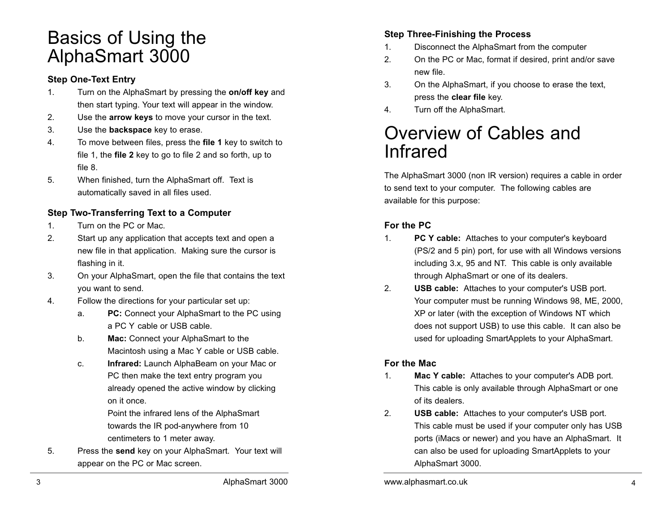## Basics of Using the AlphaSmart 3000

### **Step One-Text Entry**

- 1. Turn on the AlphaSmart by pressing the **on/off key** and then start typing. Your text will appear in the window.
- 2. Use the **arrow keys** to move your cursor in the text.
- 3. Use the **backspace** key to erase.
- 4. To move between files, press the **file 1** key to switch to file 1, the **file 2** key to go to file 2 and so forth, up to file 8.
- 5. When finished, turn the AlphaSmart off. Text is automatically saved in all files used.

## **Step Two-Transferring Text to a Computer**

- 1. Turn on the PC or Mac.
- 2. Start up any application that accepts text and open a new file in that application. Making sure the cursor is flashing in it.
- 3. On your AlphaSmart, open the file that contains the text you want to send.
- 4. Follow the directions for your particular set up:
	- a. **PC:** Connect your AlphaSmart to the PC using a PC Y cable or USB cable.
	- b. **Mac:** Connect your AlphaSmart to the Macintosh using a Mac Y cable or USB cable.
	- c. **Infrared:** Launch AlphaBeam on your Mac or PC then make the text entry program you already opened the active window by clicking on it once.

Point the infrared lens of the AlphaSmart towards the IR pod-anywhere from 10 centimeters to 1 meter away.

5. Press the **send** key on your AlphaSmart. Your text will appear on the PC or Mac screen.

## **Step Three-Finishing the Process**

- 1. Disconnect the AlphaSmart from the computer
- 2. On the PC or Mac, format if desired, print and/or save new file.
- 3. On the AlphaSmart, if you choose to erase the text, press the **clear file** key.
- 4. Turn off the AlphaSmart.

## Overview of Cables and Infrared

The AlphaSmart 3000 (non IR version) requires a cable in order to send text to your computer. The following cables are available for this purpose:

## **For the PC**

- 1. **PC Y cable:** Attaches to your computer's keyboard (PS/2 and 5 pin) port, for use with all Windows versions including 3.x, 95 and NT. This cable is only available through AlphaSmart or one of its dealers.
- 2. **USB cable:** Attaches to your computer's USB port. Your computer must be running Windows 98, ME, 2000, XP or later (with the exception of Windows NT which does not support USB) to use this cable. It can also be used for uploading SmartApplets to your AlphaSmart.

### **For the Mac**

- 1. **Mac Y cable:** Attaches to your computer's ADB port. This cable is only available through AlphaSmart or one of its dealers.
- 2. **USB cable:** Attaches to your computer's USB port. This cable must be used if your computer only has USB ports (iMacs or newer) and you have an AlphaSmart. It can also be used for uploading SmartApplets to your AlphaSmart 3000.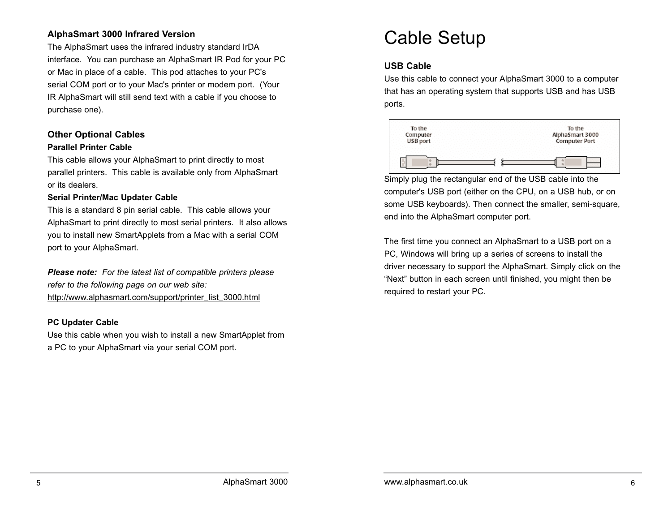### **AlphaSmart 3000 Infrared Version**

The AlphaSmart uses the infrared industry standard IrDA interface. You can purchase an AlphaSmart IR Pod for your PC or Mac in place of a cable. This pod attaches to your PC's serial COM port or to your Mac's printer or modem port. (Your IR AlphaSmart will still send text with a cable if you choose to purchase one).

## **Other Optional Cables**

#### **Parallel Printer Cable**

This cable allows your AlphaSmart to print directly to most parallel printers. This cable is available only from AlphaSmart or its dealers.

#### **Serial Printer/Mac Updater Cable**

This is a standard 8 pin serial cable. This cable allows your AlphaSmart to print directly to most serial printers. It also allows you to install new SmartApplets from a Mac with a serial COM port to your AlphaSmart.

*Please note: For the latest list of compatible printers please refer to the following page on our web site:* http://www.alphasmart.com/support/printer\_list\_3000.html

#### **PC Updater Cable**

Use this cable when you wish to install a new SmartApplet from a PC to your AlphaSmart via your serial COM port.

## Cable Setup

## **USB Cable**

Use this cable to connect your AlphaSmart 3000 to a computer that has an operating system that supports USB and has USB ports.



Simply plug the rectangular end of the USB cable into the computer's USB port (either on the CPU, on a USB hub, or on some USB keyboards). Then connect the smaller, semi-square, end into the AlphaSmart computer port.

The first time you connect an AlphaSmart to a USB port on a PC, Windows will bring up a series of screens to install the driver necessary to support the AlphaSmart. Simply click on the "Next" button in each screen until finished, you might then be required to restart your PC.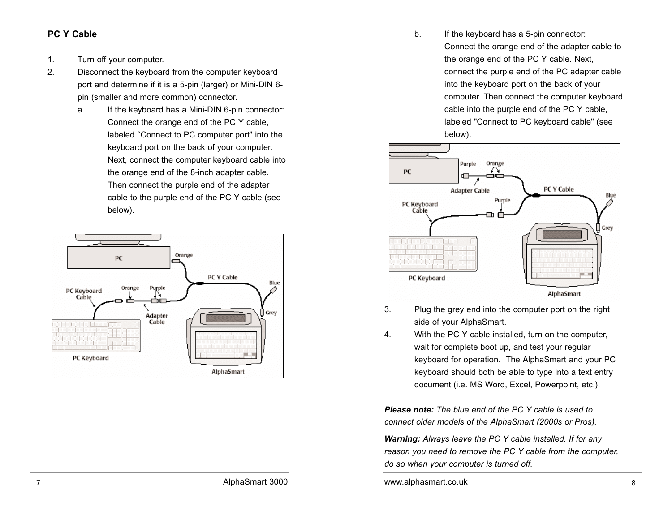#### **PC Y Cable**

- 1. Turn off your computer.
- 2. Disconnect the keyboard from the computer keyboard port and determine if it is a 5-pin (larger) or Mini-DIN 6 pin (smaller and more common) connector.
	- a. If the keyboard has a Mini-DIN 6-pin connector: Connect the orange end of the PC Y cable, labeled "Connect to PC computer port" into the keyboard port on the back of your computer. Next, connect the computer keyboard cable into the orange end of the 8-inch adapter cable. Then connect the purple end of the adapter cable to the purple end of the PC Y cable (see below).



b. If the keyboard has a 5-pin connector: Connect the orange end of the adapter cable to the orange end of the PC Y cable. Next, connect the purple end of the PC adapter cable into the keyboard port on the back of your computer. Then connect the computer keyboard cable into the purple end of the PC Y cable, labeled "Connect to PC keyboard cable" (see below).



- 3. Plug the grey end into the computer port on the right side of your AlphaSmart.
- 4. With the PC Y cable installed, turn on the computer, wait for complete boot up, and test your regular keyboard for operation. The AlphaSmart and your PC keyboard should both be able to type into a text entry document (i.e. MS Word, Excel, Powerpoint, etc.).

*Please note: The blue end of the PC Y cable is used to connect older models of the AlphaSmart (2000s or Pros).*

*Warning: Always leave the PC Y cable installed. If for any reason you need to remove the PC Y cable from the computer, do so when your computer is turned off.*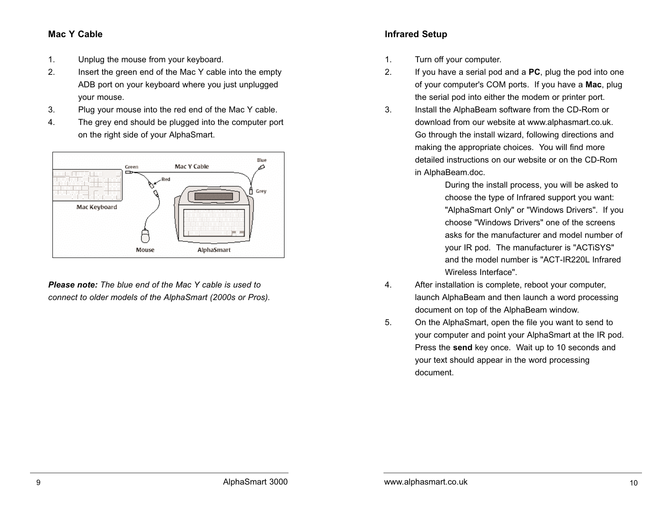#### **Mac Y Cable**

- 1. Unplug the mouse from your keyboard.
- 2. Insert the green end of the Mac Y cable into the empty ADB port on your keyboard where you just unplugged your mouse.
- 3. Plug your mouse into the red end of the Mac Y cable.
- 4. The grey end should be plugged into the computer port on the right side of your AlphaSmart.



*Please note: The blue end of the Mac Y cable is used to connect to older models of the AlphaSmart (2000s or Pros).*

## **Infrared Setup**

- 1. Turn off your computer.
- 2. If you have a serial pod and a **PC**, plug the pod into one of your computer's COM ports. If you have a **Mac**, plug the serial pod into either the modem or printer port.
- 3. Install the AlphaBeam software from the CD-Rom or download from our website at www.alphasmart.co.uk. Go through the install wizard, following directions and making the appropriate choices. You will find more detailed instructions on our website or on the CD-Rom in AlphaBeam.doc.

During the install process, you will be asked to choose the type of Infrared support you want: "AlphaSmart Only" or "Windows Drivers". If you choose "Windows Drivers" one of the screens asks for the manufacturer and model number of your IR pod. The manufacturer is "ACTiSYS" and the model number is "ACT-IR220L Infrared Wireless Interface".

- 4. After installation is complete, reboot your computer, launch AlphaBeam and then launch a word processing document on top of the AlphaBeam window.
- 5. On the AlphaSmart, open the file you want to send to your computer and point your AlphaSmart at the IR pod. Press the **send** key once. Wait up to 10 seconds and your text should appear in the word processing document.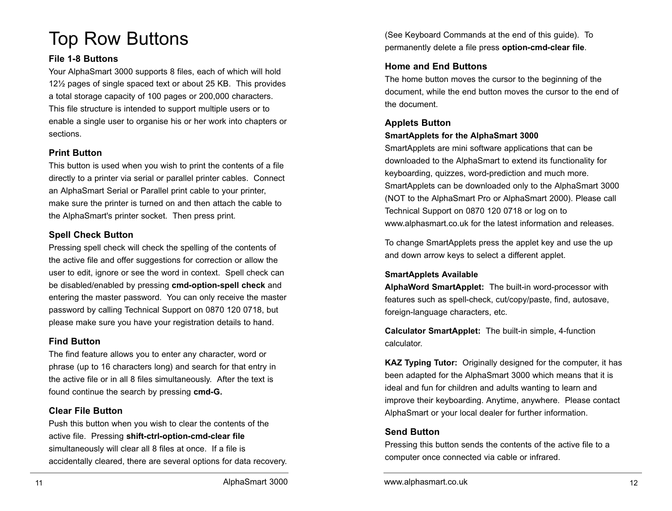## Top Row Buttons

#### **File 1-8 Buttons**

Your AlphaSmart 3000 supports 8 files, each of which will hold 12½ pages of single spaced text or about 25 KB. This provides a total storage capacity of 100 pages or 200,000 characters. This file structure is intended to support multiple users or to enable a single user to organise his or her work into chapters or sections.

#### **Print Button**

This button is used when you wish to print the contents of a file directly to a printer via serial or parallel printer cables. Connect an AlphaSmart Serial or Parallel print cable to your printer, make sure the printer is turned on and then attach the cable to the AlphaSmart's printer socket. Then press print.

#### **Spell Check Button**

Pressing spell check will check the spelling of the contents of the active file and offer suggestions for correction or allow the user to edit, ignore or see the word in context. Spell check can be disabled/enabled by pressing **cmd-option-spell check** and entering the master password. You can only receive the master password by calling Technical Support on 0870 120 0718, but please make sure you have your registration details to hand.

#### **Find Button**

The find feature allows you to enter any character, word or phrase (up to 16 characters long) and search for that entry in the active file or in all 8 files simultaneously. After the text is found continue the search by pressing **cmd-G.**

#### **Clear File Button**

Push this button when you wish to clear the contents of the active file. Pressing **shift-ctrl-option-cmd-clear file** simultaneously will clear all 8 files at once. If a file is accidentally cleared, there are several options for data recovery. (See Keyboard Commands at the end of this guide). To permanently delete a file press **option-cmd-clear file**.

#### **Home and End Buttons**

The home button moves the cursor to the beginning of the document, while the end button moves the cursor to the end of the document.

## **Applets Button**

## **SmartApplets for the AlphaSmart 3000**  SmartApplets are mini software applications that can be

downloaded to the AlphaSmart to extend its functionality for keyboarding, quizzes, word-prediction and much more. SmartApplets can be downloaded only to the AlphaSmart 3000 (NOT to the AlphaSmart Pro or AlphaSmart 2000). Please call Technical Support on 0870 120 0718 or log on to www.alphasmart.co.uk for the latest information and releases.

To change SmartApplets press the applet key and use the up and down arrow keys to select a different applet.

#### **SmartApplets Available**

**AlphaWord SmartApplet:** The built-in word-processor with features such as spell-check, cut/copy/paste, find, autosave, foreign-language characters, etc.

**Calculator SmartApplet:** The built-in simple, 4-function calculator.

**KAZ Typing Tutor:** Originally designed for the computer, it has been adapted for the AlphaSmart 3000 which means that it is ideal and fun for children and adults wanting to learn and improve their keyboarding. Anytime, anywhere. Please contact AlphaSmart or your local dealer for further information.

#### **Send Button**

Pressing this button sends the contents of the active file to a computer once connected via cable or infrared.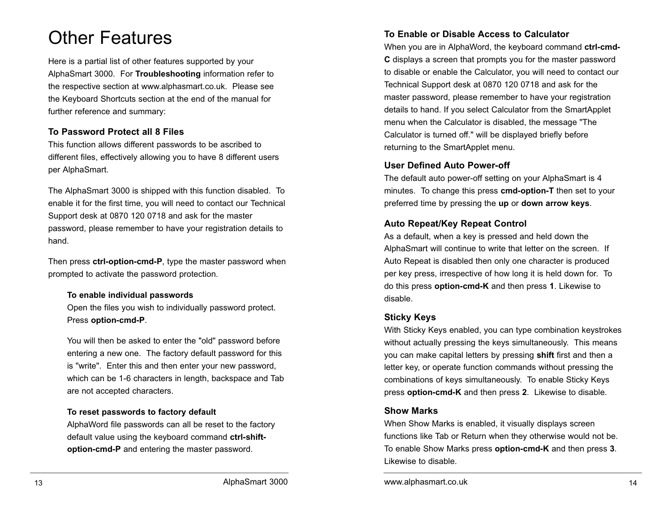## Other Features

Here is a partial list of other features supported by your AlphaSmart 3000. For **Troubleshooting** information refer to the respective section at www.alphasmart.co.uk. Please see the Keyboard Shortcuts section at the end of the manual for further reference and summary:

### **To Password Protect all 8 Files**

This function allows different passwords to be ascribed to different files, effectively allowing you to have 8 different users per AlphaSmart.

The AlphaSmart 3000 is shipped with this function disabled. To enable it for the first time, you will need to contact our Technical Support desk at 0870 120 0718 and ask for the master password, please remember to have your registration details to hand.

Then press **ctrl-option-cmd-P**, type the master password when prompted to activate the password protection.

#### **To enable individual passwords**

Open the files you wish to individually password protect. Press **option-cmd-P**.

You will then be asked to enter the "old" password before entering a new one. The factory default password for this is "write". Enter this and then enter your new password, which can be 1-6 characters in length, backspace and Tab are not accepted characters.

### **To reset passwords to factory default**

AlphaWord file passwords can all be reset to the factory default value using the keyboard command **ctrl-shiftoption-cmd-P** and entering the master password.

## **To Enable or Disable Access to Calculator**

When you are in AlphaWord, the keyboard command **ctrl-cmd-C** displays a screen that prompts you for the master password to disable or enable the Calculator, you will need to contact our Technical Support desk at 0870 120 0718 and ask for the master password, please remember to have your registration details to hand. If you select Calculator from the SmartApplet menu when the Calculator is disabled, the message "The Calculator is turned off." will be displayed briefly before returning to the SmartApplet menu.

## **User Defined Auto Power-off**

The default auto power-off setting on your AlphaSmart is 4 minutes. To change this press **cmd-option-T** then set to your preferred time by pressing the **up** or **down arrow keys**.

## **Auto Repeat/Key Repeat Control**

As a default, when a key is pressed and held down the AlphaSmart will continue to write that letter on the screen. If Auto Repeat is disabled then only one character is produced per key press, irrespective of how long it is held down for. To do this press **option-cmd-K** and then press **1**. Likewise to disable.

## **Sticky Keys**

With Sticky Keys enabled, you can type combination keystrokes without actually pressing the keys simultaneously. This means you can make capital letters by pressing **shift** first and then a letter key, or operate function commands without pressing the combinations of keys simultaneously. To enable Sticky Keys press **option-cmd-K** and then press **2**. Likewise to disable.

## **Show Marks**

When Show Marks is enabled, it visually displays screen functions like Tab or Return when they otherwise would not be. To enable Show Marks press **option-cmd-K** and then press **3**. Likewise to disable.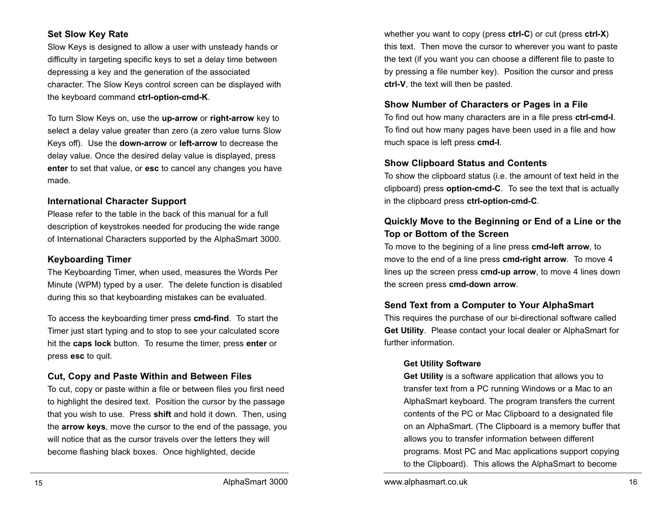### **Set Slow Key Rate**

Slow Keys is designed to allow a user with unsteady hands or difficulty in targeting specific keys to set a delay time between depressing a key and the generation of the associated character. The Slow Keys control screen can be displayed with the keyboard command **ctrl-option-cmd-K**.

To turn Slow Keys on, use the **up-arrow** or **right-arrow** key to select a delay value greater than zero (a zero value turns Slow Keys off). Use the **down-arrow** or **left-arrow** to decrease the delay value. Once the desired delay value is displayed, press **enter** to set that value, or **esc** to cancel any changes you have made.

#### **International Character Support**

Please refer to the table in the back of this manual for a full description of keystrokes needed for producing the wide range of International Characters supported by the AlphaSmart 3000.

#### **Keyboarding Timer**

The Keyboarding Timer, when used, measures the Words Per Minute (WPM) typed by a user. The delete function is disabled during this so that keyboarding mistakes can be evaluated.

To access the keyboarding timer press **cmd-find**. To start the Timer just start typing and to stop to see your calculated score hit the **caps lock** button. To resume the timer, press **enter** or press **esc** to quit.

### **Cut, Copy and Paste Within and Between Files**

To cut, copy or paste within a file or between files you first need to highlight the desired text. Position the cursor by the passage that you wish to use. Press **shift** and hold it down. Then, using the **arrow keys**, move the cursor to the end of the passage, you will notice that as the cursor travels over the letters they will become flashing black boxes. Once highlighted, decide

whether you want to copy (press **ctrl-C**) or cut (press **ctrl-X**) this text. Then move the cursor to wherever you want to paste the text (if you want you can choose a different file to paste to by pressing a file number key). Position the cursor and press **ctrl-V**, the text will then be pasted.

#### **Show Number of Characters or Pages in a File**

To find out how many characters are in a file press **ctrl-cmd-I**. To find out how many pages have been used in a file and how much space is left press **cmd-I**.

#### **Show Clipboard Status and Contents**

To show the clipboard status (i.e. the amount of text held in the clipboard) press **option-cmd-C**. To see the text that is actually in the clipboard press **ctrl-option-cmd-C**.

## **Quickly Move to the Beginning or End of a Line or the Top or Bottom of the Screen**

To move to the begining of a line press **cmd-left arrow**, to move to the end of a line press **cmd-right arrow**. To move 4 lines up the screen press **cmd-up arrow**, to move 4 lines down the screen press **cmd-down arrow**.

### **Send Text from a Computer to Your AlphaSmart**

This requires the purchase of our bi-directional software called **Get Utility**. Please contact your local dealer or AlphaSmart for further information.

#### **Get Utility Software**

**Get Utility** is a software application that allows you to transfer text from a PC running Windows or a Mac to an AlphaSmart keyboard. The program transfers the current contents of the PC or Mac Clipboard to a designated file on an AlphaSmart. (The Clipboard is a memory buffer that allows you to transfer information between different programs. Most PC and Mac applications support copying to the Clipboard). This allows the AlphaSmart to become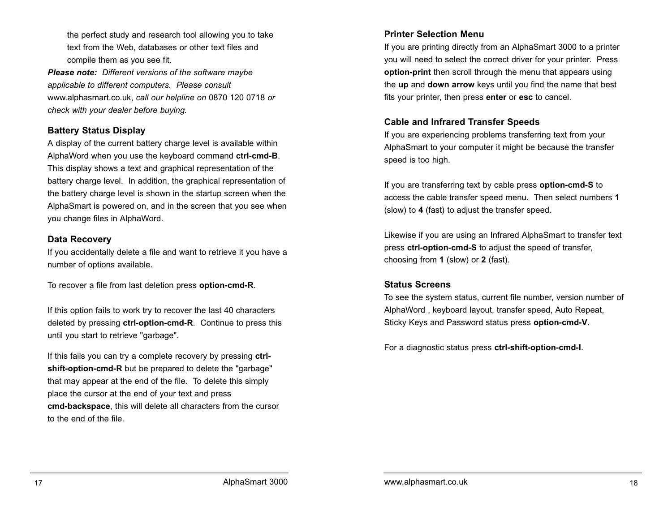the perfect study and research tool allowing you to take text from the Web, databases or other text files and compile them as you see fit.

*Please note: Different versions of the software maybe applicable to different computers. Please consult* www.alphasmart.co.uk, *call our helpline on* 0870 120 0718 *or check with your dealer before buying.*

#### **Battery Status Display**

A display of the current battery charge level is available within AlphaWord when you use the keyboard command **ctrl-cmd-B**. This display shows a text and graphical representation of the battery charge level. In addition, the graphical representation of the battery charge level is shown in the startup screen when the AlphaSmart is powered on, and in the screen that you see when you change files in AlphaWord.

#### **Data Recovery**

If you accidentally delete a file and want to retrieve it you have a number of options available.

To recover a file from last deletion press **option-cmd-R**.

If this option fails to work try to recover the last 40 characters deleted by pressing **ctrl-option-cmd-R**. Continue to press this until you start to retrieve "garbage".

If this fails you can try a complete recovery by pressing **ctrlshift-option-cmd-R** but be prepared to delete the "garbage" that may appear at the end of the file. To delete this simply place the cursor at the end of your text and press **cmd-backspace**, this will delete all characters from the cursor to the end of the file.

#### **Printer Selection Menu**

If you are printing directly from an AlphaSmart 3000 to a printer you will need to select the correct driver for your printer. Press **option-print** then scroll through the menu that appears using the **up** and **down arrow** keys until you find the name that best fits your printer, then press **enter** or **esc** to cancel.

#### **Cable and Infrared Transfer Speeds**

If you are experiencing problems transferring text from your AlphaSmart to your computer it might be because the transfer speed is too high.

If you are transferring text by cable press **option-cmd-S** to access the cable transfer speed menu. Then select numbers **1** (slow) to **4** (fast) to adjust the transfer speed.

Likewise if you are using an Infrared AlphaSmart to transfer text press **ctrl-option-cmd-S** to adjust the speed of transfer, choosing from **1** (slow) or **2** (fast).

#### **Status Screens**

To see the system status, current file number, version number of AlphaWord , keyboard layout, transfer speed, Auto Repeat, Sticky Keys and Password status press **option-cmd-V**.

For a diagnostic status press **ctrl-shift-option-cmd-I**.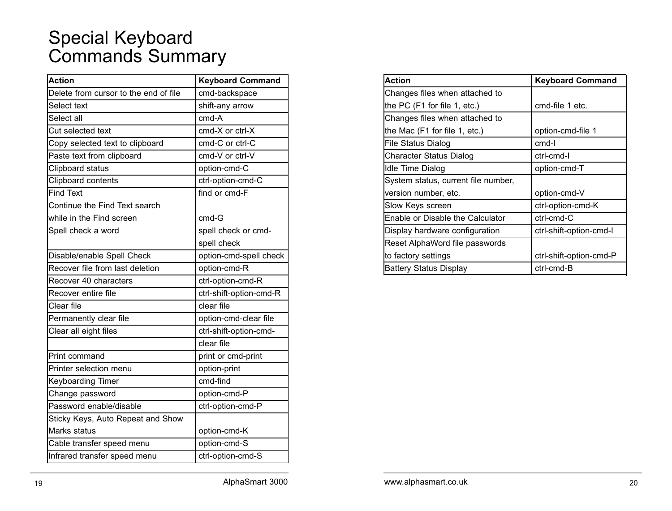## Special Keyboard Commands Summary

| <b>Action</b>                         | <b>Keyboard Command</b> |
|---------------------------------------|-------------------------|
| Delete from cursor to the end of file | cmd-backspace           |
| Select text                           | shift-any arrow         |
| Select all                            | cmd-A                   |
| Cut selected text                     | cmd-X or ctrl-X         |
| Copy selected text to clipboard       | cmd-C or ctrl-C         |
| Paste text from clipboard             | cmd-V or ctrl-V         |
| Clipboard status                      | option-cmd-C            |
| Clipboard contents                    | ctrl-option-cmd-C       |
| <b>Find Text</b>                      | find or cmd-F           |
| Continue the Find Text search         |                         |
| while in the Find screen              | cmd-G                   |
| Spell check a word                    | spell check or cmd-     |
|                                       | spell check             |
| Disable/enable Spell Check            | option-cmd-spell check  |
| Recover file from last deletion       | option-cmd-R            |
| Recover 40 characters                 | ctrl-option-cmd-R       |
| Recover entire file                   | ctrl-shift-option-cmd-R |
| Clear file                            | clear file              |
| Permanently clear file                | option-cmd-clear file   |
| Clear all eight files                 | ctrl-shift-option-cmd-  |
|                                       | clear file              |
| Print command                         | print or cmd-print      |
| Printer selection menu                | option-print            |
| <b>Keyboarding Timer</b>              | cmd-find                |
| Change password                       | option-cmd-P            |
| Password enable/disable               | ctrl-option-cmd-P       |
| Sticky Keys, Auto Repeat and Show     |                         |
| Marks status                          | option-cmd-K            |
| Cable transfer speed menu             | option-cmd-S            |
| Infrared transfer speed menu          | ctrl-option-cmd-S       |
|                                       |                         |

| Action                              | <b>Keyboard Command</b> |
|-------------------------------------|-------------------------|
| Changes files when attached to      |                         |
| the PC (F1 for file 1, etc.)        | cmd-file 1 etc.         |
| Changes files when attached to      |                         |
| the Mac (F1 for file 1, etc.)       | option-cmd-file 1       |
| File Status Dialog                  | cmd-l                   |
| Character Status Dialog             | ctrl-cmd-l              |
| Idle Time Dialog                    | option-cmd-T            |
| System status, current file number, |                         |
| version number, etc.                | option-cmd-V            |
| Slow Keys screen                    | ctrl-option-cmd-K       |
| Enable or Disable the Calculator    | ctrl-cmd-C              |
| Display hardware configuration      | ctrl-shift-option-cmd-l |
| Reset AlphaWord file passwords      |                         |
| to factory settings                 | ctrl-shift-option-cmd-P |
| Battery Status Display              | ctrl-cmd-B              |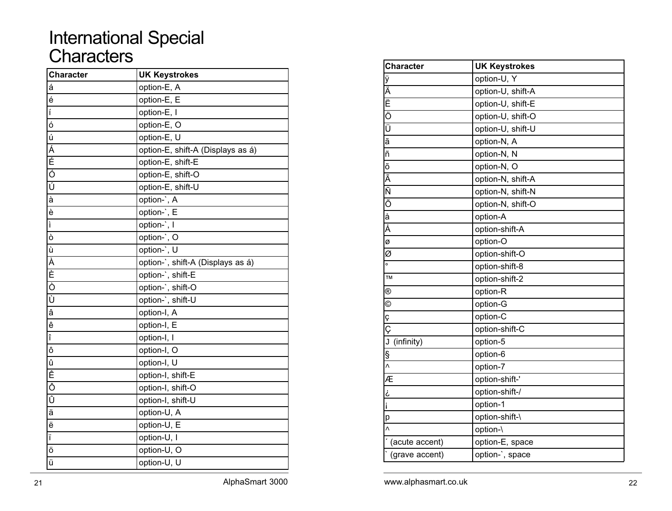## International Special **Characters**

| <b>Character</b>                               | <b>UK Keystrokes</b>              |
|------------------------------------------------|-----------------------------------|
| á                                              | option-E, A                       |
| é                                              | option-E, E                       |
| $\mathfrak{f}% _{0}\left( \mathfrak{g}\right)$ | option-E, I                       |
| $\overline{6}$                                 | option-E, O                       |
| ú                                              | option-E, U                       |
| Á                                              | option-E, shift-A (Displays as á) |
| É                                              | option-E, shift-E                 |
| $\overline{\acute{o}}$                         | option-E, shift-O                 |
| Ú                                              | option-E, shift-U                 |
| $\overline{\dot{a}}$                           | option-`, A                       |
| è                                              | option-`, E                       |
| ì                                              | option-`, I                       |
| ò                                              | option-`, O                       |
| ù                                              | option-`, U                       |
|                                                | option-`, shift-A (Displays as á) |
| ム<br>ヒーロー                                      | option-`, shift-E                 |
|                                                | option-`, shift-O                 |
| Ù                                              | option-`, shift-U                 |
| â                                              | option-I, A                       |
| ê                                              | option-I, E                       |
| î                                              | option-I, I                       |
| ô                                              | option-I, O                       |
| û                                              | option-I, U                       |
| Ê                                              | option-I, shift-E                 |
| Ô                                              | option-I, shift-O                 |
| Û                                              | option-I, shift-U                 |
| ä                                              | option-U, A                       |
| $\overline{e}$                                 | option-U, E                       |
| ï                                              | option-U, I                       |
| ö                                              | option-U, O                       |
| ü                                              | option-U, U                       |

| option-U, Y<br>option-U, shift-A<br>option-U, shift-E<br>option-U, shift-O<br>option-U, shift-U<br>option-N, A<br>option-N, N<br>option-N, O<br>option-N, shift-A<br>option-N, shift-N<br>option-N, shift-O<br>option-A |
|-------------------------------------------------------------------------------------------------------------------------------------------------------------------------------------------------------------------------|
|                                                                                                                                                                                                                         |
|                                                                                                                                                                                                                         |
|                                                                                                                                                                                                                         |
|                                                                                                                                                                                                                         |
|                                                                                                                                                                                                                         |
|                                                                                                                                                                                                                         |
|                                                                                                                                                                                                                         |
|                                                                                                                                                                                                                         |
|                                                                                                                                                                                                                         |
|                                                                                                                                                                                                                         |
|                                                                                                                                                                                                                         |
|                                                                                                                                                                                                                         |
| option-shift-A                                                                                                                                                                                                          |
| option-O                                                                                                                                                                                                                |
| option-shift-O                                                                                                                                                                                                          |
| option-shift-8                                                                                                                                                                                                          |
| option-shift-2                                                                                                                                                                                                          |
| option-R                                                                                                                                                                                                                |
| option-G                                                                                                                                                                                                                |
| option-C                                                                                                                                                                                                                |
| option-shift-C                                                                                                                                                                                                          |
| option-5                                                                                                                                                                                                                |
| option-6                                                                                                                                                                                                                |
| option-7                                                                                                                                                                                                                |
| option-shift-'                                                                                                                                                                                                          |
| option-shift-/                                                                                                                                                                                                          |
| option-1                                                                                                                                                                                                                |
| option-shift-\                                                                                                                                                                                                          |
| option-\                                                                                                                                                                                                                |
| option-E, space                                                                                                                                                                                                         |
|                                                                                                                                                                                                                         |
|                                                                                                                                                                                                                         |